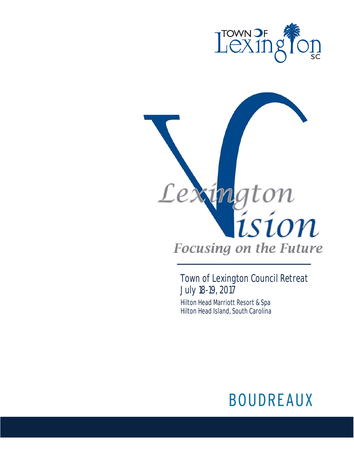



Town of Lexington Council Retreat July 18-19, 2017 Hilton Head Marriott Resort & Spa Hilton Head Island, South Carolina

# **BOUDREAUX**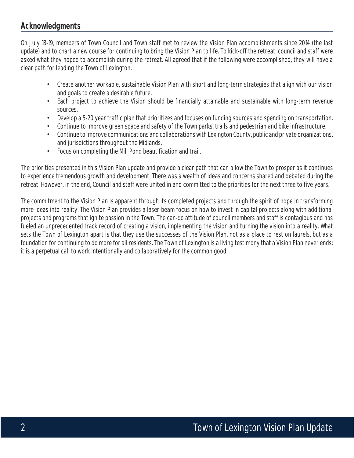# **Acknowledgments**

On July 18-19, members of Town Council and Town staff met to review the Vision Plan accomplishments since 2014 (the last update) and to chart a new course for continuing to bring the Vision Plan to life. To kick-off the retreat, council and staff were asked what they hoped to accomplish during the retreat. All agreed that if the following were accomplished, they will have a clear path for leading the Town of Lexington.

- Create another workable, sustainable Vision Plan with short and long-term strategies that align with our vision and goals to create a desirable future.
- Each project to achieve the Vision should be financially attainable and sustainable with long-term revenue sources.
- Develop a 5-20 year traffic plan that prioritizes and focuses on funding sources and spending on transportation.
- Continue to improve green space and safety of the Town parks, trails and pedestrian and bike infrastructure.
- Continue to improve communications and collaborations with Lexington County, public and private organizations, and jurisdictions throughout the Midlands.
- Focus on completing the Mill Pond beautification and trail.

The priorities presented in this Vision Plan update and provide a clear path that can allow the Town to prosper as it continues to experience tremendous growth and development. There was a wealth of ideas and concerns shared and debated during the retreat. However, in the end, Council and staff were united in and committed to the priorities for the next three to five years.

The commitment to the Vision Plan is apparent through its completed projects and through the spirit of hope in transforming more ideas into reality. The Vision Plan provides a laser-beam focus on how to invest in capital projects along with additional projects and programs that ignite passion in the Town. The can-do attitude of council members and staff is contagious and has fueled an unprecedented track record of creating a vision, implementing the vision and turning the vision into a reality. What sets the Town of Lexington apart is that they use the successes of the Vision Plan, not as a place to rest on laurels, but as a foundation for continuing to do more for all residents. The Town of Lexington is a living testimony that a Vision Plan never ends: it is a perpetual call to work intentionally and collaboratively for the common good.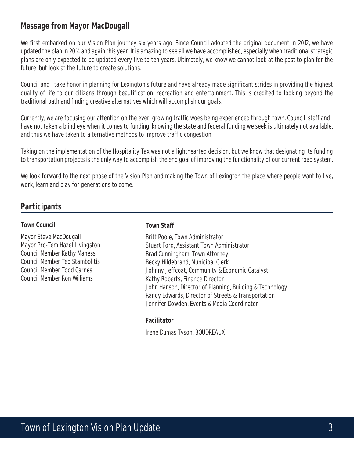# **Message from Mayor MacDougall**

We first embarked on our Vision Plan journey six years ago. Since Council adopted the original document in 2012, we have updated the plan in 2014 and again this year. It is amazing to see all we have accomplished, especially when traditional strategic plans are only expected to be updated every five to ten years. Ultimately, we know we cannot look at the past to plan for the future, but look at the future to create solutions.

Council and I take honor in planning for Lexington's future and have already made significant strides in providing the highest quality of life to our citizens through beautification, recreation and entertainment. This is credited to looking beyond the traditional path and finding creative alternatives which will accomplish our goals.

Currently, we are focusing our attention on the ever growing traffic woes being experienced through town. Council, staff and I have not taken a blind eye when it comes to funding, knowing the state and federal funding we seek is ultimately not available, and thus we have taken to alternative methods to improve traffic congestion.

Taking on the implementation of the Hospitality Tax was not a lighthearted decision, but we know that designating its funding to transportation projects is the only way to accomplish the end goal of improving the functionality of our current road system.

We look forward to the next phase of the Vision Plan and making the Town of Lexington the place where people want to live, work, learn and play for generations to come.

# **Participants**

#### **Town Council**

Mayor Steve MacDougall Mayor Pro-Tem Hazel Livingston Council Member Kathy Maness Council Member Ted Stambolitis Council Member Todd Carnes Council Member Ron Williams

#### **Town Staff**

Britt Poole, Town Administrator Stuart Ford, Assistant Town Administrator Brad Cunningham, Town Attorney Becky Hildebrand, Municipal Clerk Johnny Jeffcoat, Community & Economic Catalyst Kathy Roberts, Finance Director John Hanson, Director of Planning, Building & Technology Randy Edwards, Director of Streets & Transportation Jennifer Dowden, Events & Media Coordinator

#### **Facilitator**

Irene Dumas Tyson, BOUDREAUX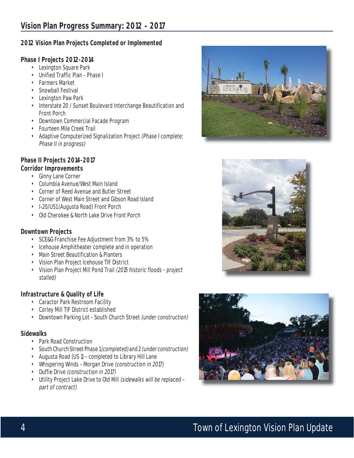#### **2012 Vision Plan Projects Completed or Implemented**

#### **Phase I Projects 2012-2014**

- Lexington Square Park
- Unified Traffic Plan Phase I
- Farmers Market
- Snowball Festival
- Lexington Paw Park
- Interstate 20 / Sunset Boulevard Interchange Beautification and Front Porch
- Downtown Commercial Facade Program
- Fourteen Mile Creek Trail
- Adaptive Computerized Signalization Project (Phase I complete; Phase II in progress)

## **Phase II Projects 2014-2017**

#### **Corridor Improvements**

- Ginny Lane Corner
- Columbia Avenue/West Main Island
- Corner of Reed Avenue and Butler Street
- Corner of West Main Street and Gibson Road Island
- I-20/US1 (Augusta Road) Front Porch
- Old Cherokee & North Lake Drive Front Porch

#### **Downtown Projects**

- SCE&G Franchise Fee Adjustment from 3% to 5%
- Icehouse Amphitheater complete and in operation
- Main Street Beautification & Planters
- Vision Plan Project Icehouse TIF District
- Vision Plan Project Mill Pond Trail (2015 historic floods project stalled)

#### **Infrastructure & Quality of Life**

- Caractor Park Restroom Facility
- Corley Mill TIF District established
- Downtown Parking Lot South Church Street (under construction)

#### **Sidewalks**

- Park Road Construction
- South Church Street Phase 1 (completed) and 2 (under construction)
- Augusta Road (US 1) completed to Library Hill Lane
- Whispering Winds Morgan Drive (construction in 2017)
- Duffie Drive (construction in 2017)
- Utility Project Lake Drive to Old Mill (sidewalks will be replaced part of contract)





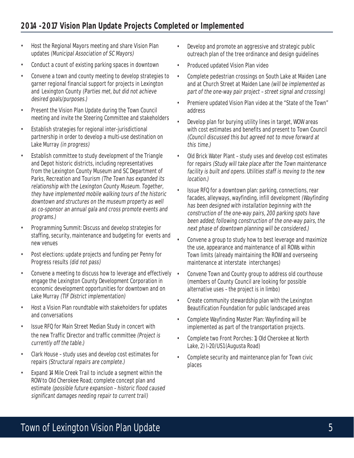- Host the Regional Mayors meeting and share Vision Plan updates (Municipal Association of SC Mayors)
- Conduct a count of existing parking spaces in downtown
- Convene a town and county meeting to develop strategies to garner regional financial support for projects in Lexington and Lexington County (Parties met, but did not achieve desired goals/purposes.)
- Present the Vision Plan Update during the Town Council meeting and invite the Steering Committee and stakeholders
- Establish strategies for regional inter-jurisdictional partnership in order to develop a multi-use destination on Lake Murray (in progress)
- Establish committee to study development of the Triangle and Depot historic districts, including representatives from the Lexington County Museum and SC Department of Parks, Recreation and Tourism (The Town has expanded its relationship with the Lexington County Museum. Together, they have implemented mobile walking tours of the historic downtown and structures on the museum property as well as co-sponsor an annual gala and cross promote events and programs.)
- Programming Summit: Discuss and develop strategies for staffing, security, maintenance and budgeting for events and new venues
- Post elections: update projects and funding per Penny for Progress results (did not pass)
- Convene a meeting to discuss how to leverage and effectively engage the Lexington County Development Corporation in economic development opportunities for downtown and on Lake Murray (TIF District implementation)
- Host a Vision Plan roundtable with stakeholders for updates and conversations
- Issue RFQ for Main Street Median Study in concert with the new Traffic Director and traffic committee (Project is currently off the table.)
- Clark House study uses and develop cost estimates for repairs (Structural repairs are complete.)
- Expand 14 Mile Creek Trail to include a segment within the ROW to Old Cherokee Road; complete concept plan and estimate (possible future expansion – historic flood caused significant damages needing repair to current trail)
- Develop and promote an aggressive and strategic public outreach plan of the tree ordinance and design guidelines
- Produced updated Vision Plan video
- Complete pedestrian crossings on South Lake at Maiden Lane and at Church Street at Maiden Lane (will be implemented as part of the one-way pair project – street signal and crossing)
- Premiere updated Vision Plan video at the "State of the Town" address
- Develop plan for burying utility lines in target, WOW areas with cost estimates and benefits and present to Town Council (Council discussed this but agreed not to move forward at this time.)
- Old Brick Water Plant study uses and develop cost estimates for repairs (Study will take place after the Town maintenance facility is built and opens. Utilities staff is moving to the new location.)
- Issue RFQ for a downtown plan: parking, connections, rear facades, alleyways, wayfinding, infill development (Wayfinding has been designed with installation beginning with the construction of the one-way pairs, 200 parking spots have been added; following construction of the one-way pairs, the next phase of downtown planning will be considered.)
- Convene a group to study how to best leverage and maximize the use, appearance and maintenance of all ROWs within Town limits (already maintaining the ROW and overseeing maintenance at interstate interchanges)
- Convene Town and County group to address old courthouse (members of County Council are looking for possible alternative uses – the project is in limbo)
- Create community stewardship plan with the Lexington Beautification Foundation for public landscaped areas
- Complete Wayfinding Master Plan: Wayfinding will be implemented as part of the transportation projects.
- Complete two Front Porches: 1) Old Cherokee at North Lake, 2) I-20/US1 (Augusta Road)
- Complete security and maintenance plan for Town civic places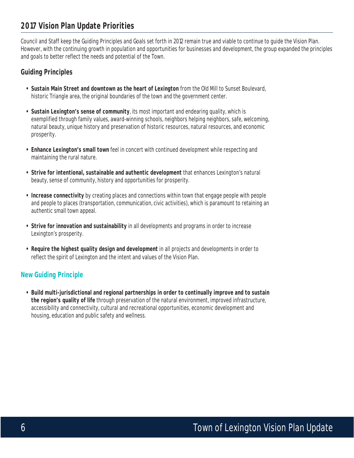# **2017 Vision Plan Update Priorities**

Council and Staff keep the Guiding Principles and Goals set forth in 2012 remain true and viable to continue to guide the Vision Plan. However, with the continuing growth in population and opportunities for businesses and development, the group expanded the principles and goals to better reflect the needs and potential of the Town.

#### **Guiding Principles**

- **Sustain Main Street and downtown as the heart of Lexington** from the Old Mill to Sunset Boulevard, historic Triangle area, the original boundaries of the town and the government center.
- **Sustain Lexington's sense of community**, its most important and endearing quality, which is exemplified through family values, award-winning schools, neighbors helping neighbors, safe, welcoming, natural beauty, unique history and preservation of historic resources, natural resources, and economic prosperity.
- **Enhance Lexington's small town** feel in concert with continued development while respecting and maintaining the rural nature.
- **Strive for intentional, sustainable and authentic development** that enhances Lexington's natural beauty, sense of community, history and opportunities for prosperity.
- **Increase connectivity** by creating places and connections within town that engage people with people and people to places (transportation, communication, civic activities), which is paramount to retaining an authentic small town appeal.
- **Strive for innovation and sustainability** in all developments and programs in order to increase Lexington's prosperity.
- **Require the highest quality design and development** in all projects and developments in order to reflect the spirit of Lexington and the intent and values of the Vision Plan.

#### **New Guiding Principle**

**• Build multi-jurisdictional and regional partnerships in order to continually improve and to sustain the region's quality of life** through preservation of the natural environment, improved infrastructure, accessibility and connectivity, cultural and recreational opportunities, economic development and housing, education and public safety and wellness.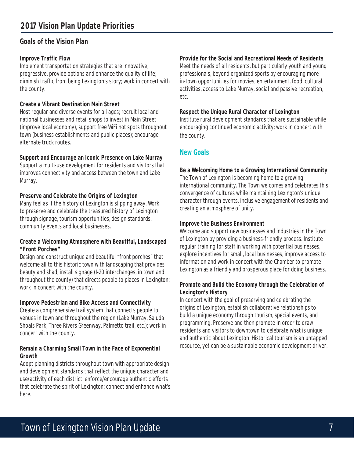### **Goals of the Vision Plan**

#### **Improve Traffic Flow**

Implement transportation strategies that are innovative, progressive, provide options and enhance the quality of life; diminish traffic from being Lexington's story; work in concert with the county.

#### **Create a Vibrant Destination Main Street**

Host regular and diverse events for all ages; recruit local and national businesses and retail shops to invest in Main Street (improve local economy), support free WiFi hot spots throughout town (business establishments and public places); encourage alternate truck routes.

#### **Support and Encourage an Iconic Presence on Lake Murray**

Support a multi-use development for residents and visitors that improves connectivity and access between the town and Lake Murray.

#### **Preserve and Celebrate the Origins of Lexington**

Many feel as if the history of Lexington is slipping away. Work to preserve and celebrate the treasured history of Lexington through signage, tourism opportunities, design standards, community events and local businesses.

#### **Create a Welcoming Atmosphere with Beautiful, Landscaped "Front Porches"**

Design and construct unique and beautiful "front porches" that welcome all to this historic town with landscaping that provides beauty and shad; install signage (I-20 interchanges, in town and throughout the county) that directs people to places in Lexington; work in concert with the county.

#### **Improve Pedestrian and Bike Access and Connectivity**

Create a comprehensive trail system that connects people to venues in town and throughout the region (Lake Murray, Saluda Shoals Park, Three Rivers Greenway, Palmetto trail, etc.); work in concert with the county.

#### **Remain a Charming Small Town in the Face of Exponential Growth**

Adopt planning districts throughout town with appropriate design and development standards that reflect the unique character and use/activity of each district; enforce/encourage authentic efforts that celebrate the spirit of Lexington; connect and enhance what's here.

#### **Provide for the Social and Recreational Needs of Residents**

Meet the needs of all residents, but particularly youth and young professionals, beyond organized sports by encouraging more in-town opportunities for movies, entertainment, food, cultural activities, access to Lake Murray, social and passive recreation, etc.

#### **Respect the Unique Rural Character of Lexington**

Institute rural development standards that are sustainable while encouraging continued economic activity; work in concert with the county.

#### **New Goals**

**Be a Welcoming Home to a Growing International Community** The Town of Lexington is becoming home to a growing international community. The Town welcomes and celebrates this convergence of cultures while maintaining Lexington's unique character through events, inclusive engagement of residents and creating an atmosphere of unity.

#### **Improve the Business Environment**

Welcome and support new businesses and industries in the Town of Lexington by providing a business-friendly process. Institute regular training for staff in working with potential businesses, explore incentives for small, local businesses, improve access to information and work in concert with the Chamber to promote Lexington as a friendly and prosperous place for doing business.

#### **Promote and Build the Economy through the Celebration of Lexington's History**

In concert with the goal of preserving and celebrating the origins of Lexington, establish collaborative relationships to build a unique economy through tourism, special events, and programming. Preserve and then promote in order to draw residents and visitors to downtown to celebrate what is unique and authentic about Lexington. Historical tourism is an untapped resource, yet can be a sustainable economic development driver.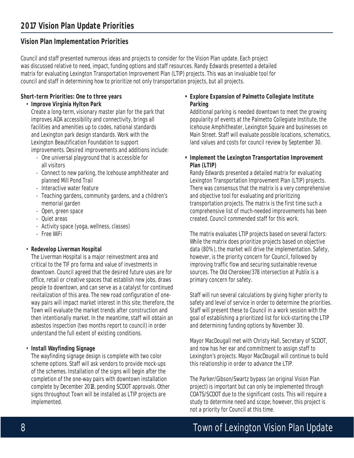# **Vision Plan Implementation Priorities**

Council and staff presented numerous ideas and projects to consider for the Vision Plan update. Each project was discussed relative to need, impact, funding options and staff resources. Randy Edwards presented a detailed matrix for evaluating Lexington Transportation Improvement Plan (LTIP) projects. This was an invaluable tool for council and staff in determining how to prioritize not only transportation projects, but all projects.

#### **Short-term Priorities: One to three years**

#### • **Improve Virginia Hylton Park**

 Create a long-term, visionary master plan for the park that improves ADA accessibility and connectivity, brings all facilities and amenities up to codes, national standards and Lexington park design standards. Work with the Lexington Beautification Foundation to support improvements. Desired improvements and additions include:

- One universal playground that is accessible for all visitors
- Connect to new parking, the Icehouse amphitheater and planned Mill Pond Trail
- Interactive water feature
- Teaching gardens, community gardens, and a children's memorial garden
- Open, green space
- Quiet areas
- Activity space (yoga, wellness, classes)
- Free WiFi

#### • **Redevelop Liverman Hospital**

The Liverman Hospital is a major reinvestment area and critical to the TIF pro forma and value of investments in downtown. Council agreed that the desired future uses are for office, retail or creative spaces that establish new jobs, draws people to downtown, and can serve as a catalyst for continued revitalization of this area. The new road configuration of oneway pairs will impact market interest in this site; therefore, the Town will evaluate the market trends after construction and then intentionally market. In the meantime, staff will obtain an asbestos inspection (two months report to council) in order understand the full extent of existing conditions.

#### • **Install Wayfinding Signage**

The wayfinding signage design is complete with two color scheme options. Staff will ask vendors to provide mock-ups of the schemes. Installation of the signs will begin after the completion of the one-way pairs with downtown installation complete by December 2018, pending SCDOT approvals. Other signs throughout Town will be installed as LTIP projects are implemented.

#### **• Explore Expansion of Palmetto Collegiate Institute Parking**

Additional parking is needed downtown to meet the growing popularity of events at the Palmetto Collegiate Institute, the Icehouse Amphitheater, Lexington Square and businesses on Main Street. Staff will evaluate possible locations, schematics, land values and costs for council review by September 30.

#### **• Implement the Lexington Transportation Improvement Plan (LTIP)**

Randy Edwards presented a detailed matrix for evaluating Lexington Transportation Improvement Plan (LTIP) projects. There was consensus that the matrix is a very comprehensive and objective tool for evaluating and prioritizing transportation projects. The matrix is the first time such a comprehensive list of much-needed improvements has been created. Council commended staff for this work.

The matrix evaluates LTIP projects based on several factors: While the matrix does prioritize projects based on objective data (80%), the market will drive the implementation. Safety, however, is the priority concern for Council, followed by improving traffic flow and securing sustainable revenue sources. The Old Cherokee/378 intersection at Publix is a primary concern for safety.

Staff will run several calculations by giving higher priority to safety and level of service in order to determine the priorities. Staff will present these to Council in a work session with the goal of establishing a prioritized list for kick-starting the LTIP and determining funding options by November 30.

Mayor MacDougall met with Christy Hall, Secretary of SCDOT, and now has her ear and commitment to assign staff to Lexington's projects. Mayor MacDougall will continue to build this relationship in order to advance the LTIP.

The Parker/Gibson/Swartz bypass (an original Vision Plan project) is important but can only be implemented through COATS/SCDOT due to the significant costs. This will require a study to determine need and scope; however, this project is not a priority for Council at this time.

# 8 **8** Town of Lexington Vision Plan Update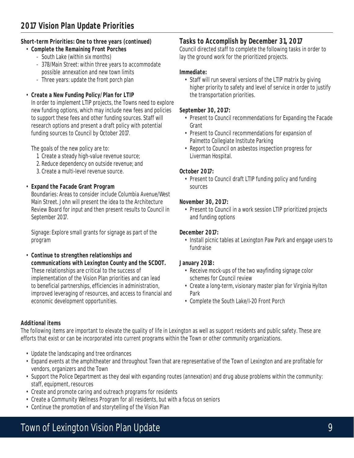#### **Short-term Priorities: One to three years (continued)**

- **Complete the Remaining Front Porches**
	- South Lake (within six months)
	- 378/Main Street: within three years to accommodate possible annexation and new town limits
	- Three years: update the front porch plan
- **Create a New Funding Policy/Plan for LTIP**

In order to implement LTIP projects, the Towns need to explore new funding options, which may include new fees and policies to support these fees and other funding sources. Staff will research options and present a draft policy with potential funding sources to Council by October 2017.

The goals of the new policy are to:

- 1. Create a steady high-value revenue source;
- 2. Reduce dependency on outside revenue; and
- 3. Create a multi-level revenue source.

#### • **Expand the Facade Grant Program**

Boundaries: Areas to consider include Columbia Avenue/West Main Street. John will present the idea to the Architecture Review Board for input and then present results to Council in September 2017.

Signage: Explore small grants for signage as part of the program

• **Continue to strengthen relationships and communications with Lexington County and the SCDOT.** These relationships are critical to the success of implementation of the Vision Plan priorities and can lead to beneficial partnerships, efficiencies in administration, improved leveraging of resources, and access to financial and economic development opportunities.

#### **Tasks to Accomplish by December 31, 2017**

Council directed staff to complete the following tasks in order to lay the ground work for the prioritized projects.

#### **Immediate:**

• Staff will run several versions of the LTIP matrix by giving higher priority to safety and level of service in order to justify the transportation priorities.

#### **September 30, 2017:**

- Present to Council recommendations for Expanding the Facade Grant
- Present to Council recommendations for expansion of Palmetto Collegiate Institute Parking
- Report to Council on asbestos inspection progress for Liverman Hospital.

#### **October 2017:**

• Present to Council draft LTIP funding policy and funding sources

#### **November 30, 2017:**

• Present to Council in a work session LTIP prioritized projects and funding options

#### **December 2017:**

• Install picnic tables at Lexington Paw Park and engage users to fundraise

#### **January 2018:**

- Receive mock-ups of the two wayfinding signage color schemes for Council review
- Create a long-term, visionary master plan for Virginia Hylton Park
- Complete the South Lake/I-20 Front Porch

#### **Additional items**

The following items are important to elevate the quality of life in Lexington as well as support residents and public safety. These are efforts that exist or can be incorporated into current programs within the Town or other community organizations.

- Update the landscaping and tree ordinances
- Expand events at the amphitheater and throughout Town that are representative of the Town of Lexington and are profitable for vendors, organizers and the Town
- Support the Police Department as they deal with expanding routes (annexation) and drug abuse problems within the community: staff, equipment, resources
- Create and promote caring and outreach programs for residents
- Create a Community Wellness Program for all residents, but with a focus on seniors
- Continue the promotion of and storytelling of the Vision Plan

# Town of Lexington Vision Plan Update 9 and 1990 and 1990 and 1990 and 1990 and 1990 and 1990 and 1990 and 1990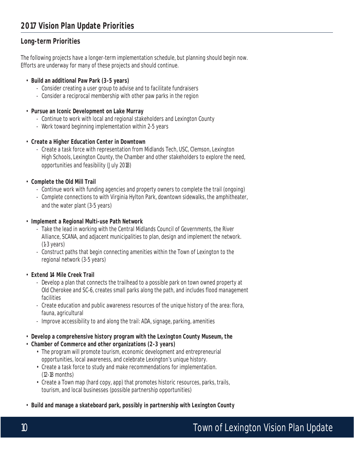# **Long-term Priorities**

The following projects have a longer-term implementation schedule, but planning should begin now. Efforts are underway for many of these projects and should continue.

#### • **Build an additional Paw Park (3-5 years)**

- Consider creating a user group to advise and to facilitate fundraisers
- Consider a reciprocal membership with other paw parks in the region
- **Pursue an Iconic Development on Lake Murray**
	- Continue to work with local and regional stakeholders and Lexington County
	- Work toward beginning implementation within 2-5 years
- **Create a Higher Education Center in Downtown**
	- Create a task force with representation from Midlands Tech, USC, Clemson, Lexington High Schools, Lexington County, the Chamber and other stakeholders to explore the need, opportunities and feasibility (July 2018)
- **Complete the Old Mill Trail**
	- Continue work with funding agencies and property owners to complete the trail (ongoing)
	- Complete connections to with Virginia Hylton Park, downtown sidewalks, the amphitheater, and the water plant (3-5 years)
- **Implement a Regional Multi-use Path Network**
	- Take the lead in working with the Central Midlands Council of Governments, the River Alliance, SCANA, and adjacent municipalities to plan, design and implement the network. (1-3 years)
	- Construct paths that begin connecting amenities within the Town of Lexington to the regional network (3-5 years)
- **Extend 14 Mile Creek Trail**
	- Develop a plan that connects the trailhead to a possible park on town owned property at Old Cherokee and SC-6, creates small parks along the path, and includes flood management facilities
	- Create education and public awareness resources of the unique history of the area: flora, fauna, agricultural
	- Improve accessibility to and along the trail: ADA, signage, parking, amenities
- **Develop a comprehensive history program with the Lexington County Museum, the**
- **Chamber of Commerce and other organizations (2-3 years)**
	- The program will promote tourism, economic development and entrepreneurial opportunities, local awareness, and celebrate Lexington's unique history.
	- Create a task force to study and make recommendations for implementation. (12-18 months)
	- Create a Town map (hard copy, app) that promotes historic resources, parks, trails, tourism, and local businesses (possible partnership opportunities)
- **Build and manage a skateboard park, possibly in partnership with Lexington County**